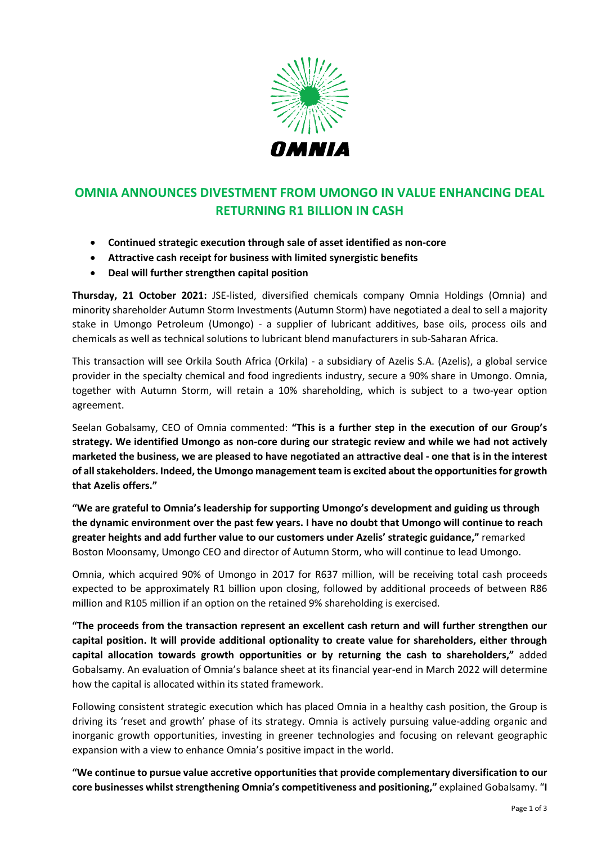

# **OMNIA ANNOUNCES DIVESTMENT FROM UMONGO IN VALUE ENHANCING DEAL RETURNING R1 BILLION IN CASH**

- **Continued strategic execution through sale of asset identified as non-core**
- **Attractive cash receipt for business with limited synergistic benefits**
- **Deal will further strengthen capital position**

**Thursday, 21 October 2021:** JSE-listed, diversified chemicals company Omnia Holdings (Omnia) and minority shareholder Autumn Storm Investments (Autumn Storm) have negotiated a deal to sell a majority stake in Umongo Petroleum (Umongo) - a supplier of lubricant additives, base oils, process oils and chemicals as well as technical solutions to lubricant blend manufacturers in sub-Saharan Africa.

This transaction will see Orkila South Africa (Orkila) - a subsidiary of Azelis S.A. (Azelis), a global service provider in the specialty chemical and food ingredients industry, secure a 90% share in Umongo. Omnia, together with Autumn Storm, will retain a 10% shareholding, which is subject to a two-year option agreement.

Seelan Gobalsamy, CEO of Omnia commented: **"This is a further step in the execution of our Group's strategy. We identified Umongo as non-core during our strategic review and while we had not actively marketed the business, we are pleased to have negotiated an attractive deal - one that is in the interest of all stakeholders. Indeed, the Umongo management team is excited about the opportunities for growth that Azelis offers."**

**"We are grateful to Omnia's leadership for supporting Umongo's development and guiding us through the dynamic environment over the past few years. I have no doubt that Umongo will continue to reach greater heights and add further value to our customers under Azelis' strategic guidance,"** remarked Boston Moonsamy, Umongo CEO and director of Autumn Storm, who will continue to lead Umongo.

Omnia, which acquired 90% of Umongo in 2017 for R637 million, will be receiving total cash proceeds expected to be approximately R1 billion upon closing, followed by additional proceeds of between R86 million and R105 million if an option on the retained 9% shareholding is exercised.

**"The proceeds from the transaction represent an excellent cash return and will further strengthen our capital position. It will provide additional optionality to create value for shareholders, either through capital allocation towards growth opportunities or by returning the cash to shareholders,"** added Gobalsamy. An evaluation of Omnia's balance sheet at its financial year-end in March 2022 will determine how the capital is allocated within its stated framework.

Following consistent strategic execution which has placed Omnia in a healthy cash position, the Group is driving its 'reset and growth' phase of its strategy. Omnia is actively pursuing value-adding organic and inorganic growth opportunities, investing in greener technologies and focusing on relevant geographic expansion with a view to enhance Omnia's positive impact in the world.

**"We continue to pursue value accretive opportunities that provide complementary diversification to our core businesses whilst strengthening Omnia's competitiveness and positioning," explained Gobalsamy. "I**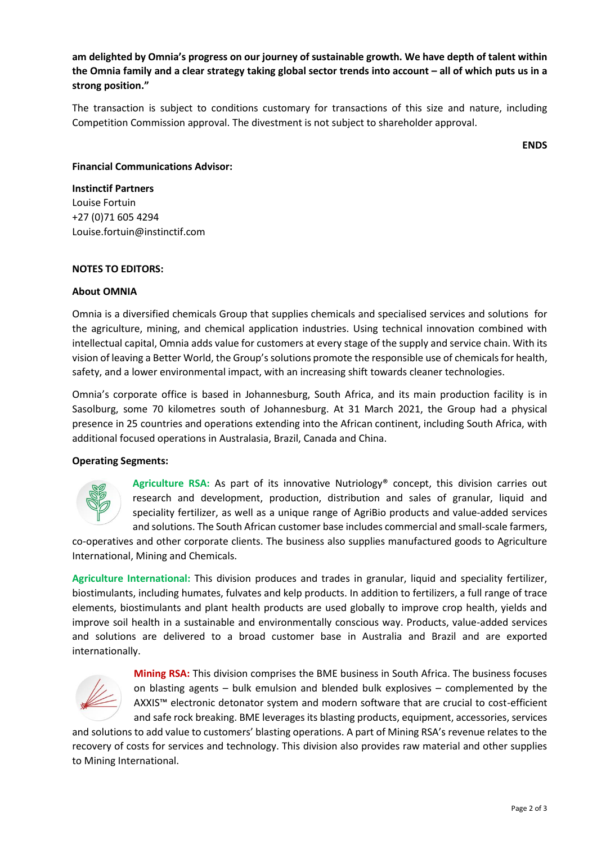**am delighted by Omnia's progress on our journey of sustainable growth. We have depth of talent within the Omnia family and a clear strategy taking global sector trends into account – all of which puts us in a strong position."**

The transaction is subject to conditions customary for transactions of this size and nature, including Competition Commission approval. The divestment is not subject to shareholder approval.

**ENDS**

### **Financial Communications Advisor:**

**Instinctif Partners** Louise Fortuin +27 (0)71 605 4294 Louise.fortuin@instinctif.com

### **NOTES TO EDITORS:**

## **About OMNIA**

Omnia is a diversified chemicals Group that supplies chemicals and specialised services and solutions for the agriculture, mining, and chemical application industries. Using technical innovation combined with intellectual capital, Omnia adds value for customers at every stage of the supply and service chain. With its vision of leaving a Better World, the Group's solutions promote the responsible use of chemicalsfor health, safety, and a lower environmental impact, with an increasing shift towards cleaner technologies.

Omnia's corporate office is based in Johannesburg, South Africa, and its main production facility is in Sasolburg, some 70 kilometres south of Johannesburg. At 31 March 2021, the Group had a physical presence in 25 countries and operations extending into the African continent, including South Africa, with additional focused operations in Australasia, Brazil, Canada and China.

#### **Operating Segments:**



**Agriculture RSA:** As part of its innovative Nutriology® concept, this division carries out research and development, production, distribution and sales of granular, liquid and speciality fertilizer, as well as a unique range of AgriBio products and value-added services and solutions. The South African customer base includes commercial and small-scale farmers,

co-operatives and other corporate clients. The business also supplies manufactured goods to Agriculture International, Mining and Chemicals.

**Agriculture International:** This division produces and trades in granular, liquid and speciality fertilizer, biostimulants, including humates, fulvates and kelp products. In addition to fertilizers, a full range of trace elements, biostimulants and plant health products are used globally to improve crop health, yields and improve soil health in a sustainable and environmentally conscious way. Products, value-added services and solutions are delivered to a broad customer base in Australia and Brazil and are exported internationally.



**Mining RSA:** This division comprises the BME business in South Africa. The business focuses on blasting agents – bulk emulsion and blended bulk explosives – complemented by the AXXIS™ electronic detonator system and modern software that are crucial to cost-efficient and safe rock breaking. BME leverages its blasting products, equipment, accessories, services

and solutions to add value to customers' blasting operations. A part of Mining RSA's revenue relates to the recovery of costs for services and technology. This division also provides raw material and other supplies to Mining International.